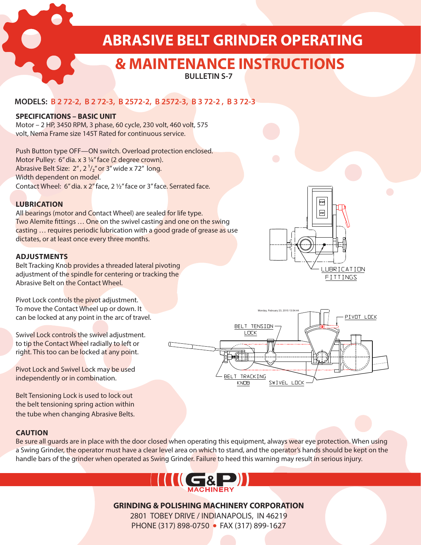**ABRASIVE BELT GRINDER OPERATING** 

# **& MAINTENANCE INSTRUCTIONS**

**BULLETIN S-7**

## **MODELS: B 2 72-2, B 2 72-3, B 2572-2, B 2572-3, B 3 72-2 , B 3 72-3**

#### **SPECIFICATIONS – BASIC UNIT**

Motor – 2 HP, 3450 RPM, 3 phase, 60 cycle, 230 volt, 460 volt, 575 volt, Nema Frame size 145T Rated for continuous service.

Push Button type OFF—ON switch. Overload protection enclosed. Motor Pulley: 6" dia. x 3 ¼" face (2 degree crown). Abrasive Belt Size:  $2^{\prime\prime}$ ,  $2^{\prime\prime}$ ," or  $3^{\prime\prime}$  wide x 72" long. Width dependent on model. Contact Wheel: 6" dia. x 2" face, 2 ½" face or 3" face. Serrated face.

### **LUBRICATION**

All bearings (motor and Contact Wheel) are sealed for life type. Two Alemite fittings … One on the swivel casting and one on the swing casting ... requires periodic lubrication with a good grade of grease as use dictates, or at least once every three months.

#### **ADJUSTMENTS**

Belt Tracking Knob provides a threaded lateral pivoting adjustment of the spindle for centering or tracking the Abrasive Belt on the Contact Wheel.

Pivot Lock controls the pivot adjustment. To move the Contact Wheel up or down. It can be locked at any point in the arc of travel.

Swivel Lock controls the swivel adjustment. to tip the Contact Wheel radially to left or right. This too can be locked at any point.

Pivot Lock and Swivel Lock may be used independently or in combination.

Belt Tensioning Lock is used to lock out the belt tensioning spring action within the tube when changing Abrasive Belts.

#### **CAUTION**

Be sure all guards are in place with the door closed when operating this equipment, always wear eye protection. When using a Swing Grinder, the operator must have a clear level area on which to stand, and the operator's hands should be kept on the handle bars of the grinder when operated as Swing Grinder. Failure to heed this warning may result in serious injury.



## **GRINDING & POLISHING MACHINERY CORPORATION**

2801 TOBEY DRIVE / INDIANAPOLIS, IN 46219 PHONE (317) 898-0750 • FAX (317) 899-1627